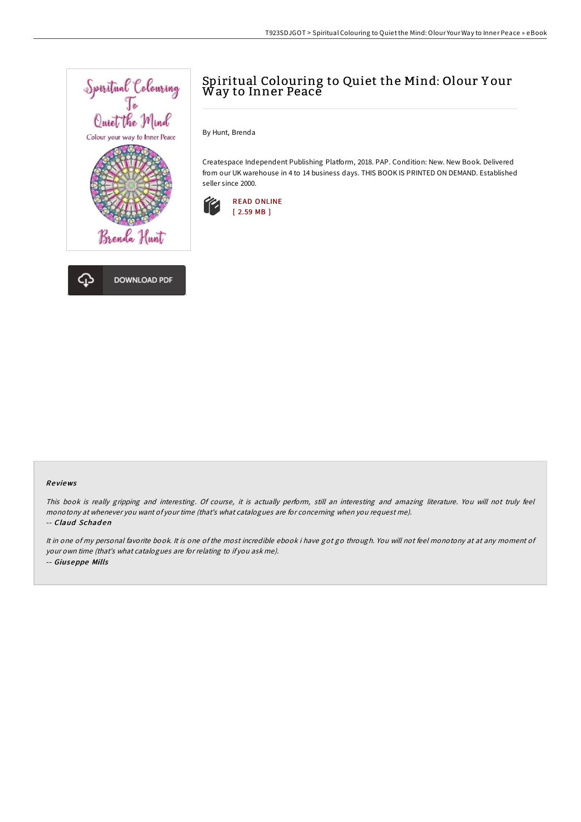

# Spiritual Colouring to Quiet the Mind: Olour Y our Way to Inner Peace

By Hunt, Brenda

Createspace Independent Publishing Platform, 2018. PAP. Condition: New. New Book. Delivered from our UK warehouse in 4 to 14 business days. THIS BOOK IS PRINTED ON DEMAND. Established seller since 2000.



### Re views

This book is really gripping and interesting. Of course, it is actually perform, still an interesting and amazing literature. You will not truly feel monotony at whenever you want of your time (that's what catalogues are for concerning when you request me).

#### -- Claud Schaden

It in one of my personal favorite book. It is one of the most incredible ebook i have got go through. You will not feel monotony at at any moment of your own time (that's what catalogues are for relating to if you ask me). -- Giuseppe Mills